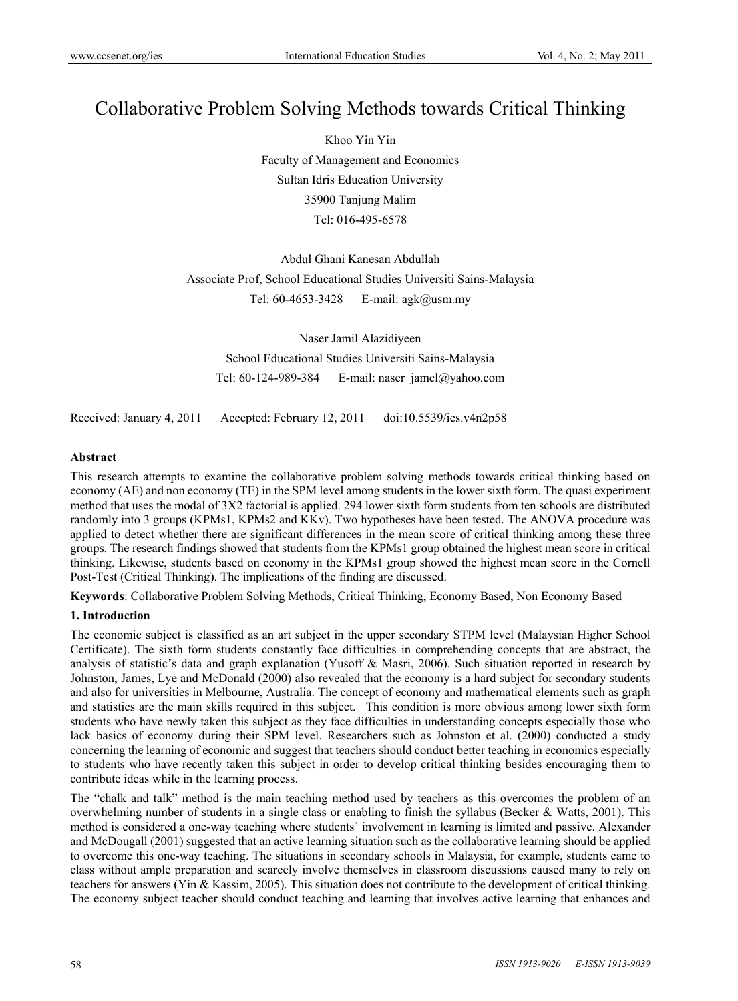# Collaborative Problem Solving Methods towards Critical Thinking

Khoo Yin Yin Faculty of Management and Economics Sultan Idris Education University 35900 Tanjung Malim Tel: 016-495-6578

Abdul Ghani Kanesan Abdullah Associate Prof, School Educational Studies Universiti Sains-Malaysia Tel: 60-4653-3428 E-mail: agk@usm.my

Naser Jamil Alazidiyeen School Educational Studies Universiti Sains-Malaysia Tel: 60-124-989-384 E-mail: naser\_jamel@yahoo.com

Received: January 4, 2011 Accepted: February 12, 2011 doi:10.5539/ies.v4n2p58

#### **Abstract**

This research attempts to examine the collaborative problem solving methods towards critical thinking based on economy (AE) and non economy (TE) in the SPM level among students in the lower sixth form. The quasi experiment method that uses the modal of 3X2 factorial is applied. 294 lower sixth form students from ten schools are distributed randomly into 3 groups (KPMs1, KPMs2 and KKv). Two hypotheses have been tested. The ANOVA procedure was applied to detect whether there are significant differences in the mean score of critical thinking among these three groups. The research findings showed that students from the KPMs1 group obtained the highest mean score in critical thinking. Likewise, students based on economy in the KPMs1 group showed the highest mean score in the Cornell Post-Test (Critical Thinking). The implications of the finding are discussed.

**Keywords**: Collaborative Problem Solving Methods, Critical Thinking, Economy Based, Non Economy Based

#### **1. Introduction**

The economic subject is classified as an art subject in the upper secondary STPM level (Malaysian Higher School Certificate). The sixth form students constantly face difficulties in comprehending concepts that are abstract, the analysis of statistic's data and graph explanation (Yusoff & Masri, 2006). Such situation reported in research by Johnston, James, Lye and McDonald (2000) also revealed that the economy is a hard subject for secondary students and also for universities in Melbourne, Australia. The concept of economy and mathematical elements such as graph and statistics are the main skills required in this subject. This condition is more obvious among lower sixth form students who have newly taken this subject as they face difficulties in understanding concepts especially those who lack basics of economy during their SPM level. Researchers such as Johnston et al. (2000) conducted a study concerning the learning of economic and suggest that teachers should conduct better teaching in economics especially to students who have recently taken this subject in order to develop critical thinking besides encouraging them to contribute ideas while in the learning process.

The "chalk and talk" method is the main teaching method used by teachers as this overcomes the problem of an overwhelming number of students in a single class or enabling to finish the syllabus (Becker & Watts, 2001). This method is considered a one-way teaching where students' involvement in learning is limited and passive. Alexander and McDougall (2001) suggested that an active learning situation such as the collaborative learning should be applied to overcome this one-way teaching. The situations in secondary schools in Malaysia, for example, students came to class without ample preparation and scarcely involve themselves in classroom discussions caused many to rely on teachers for answers (Yin & Kassim, 2005). This situation does not contribute to the development of critical thinking. The economy subject teacher should conduct teaching and learning that involves active learning that enhances and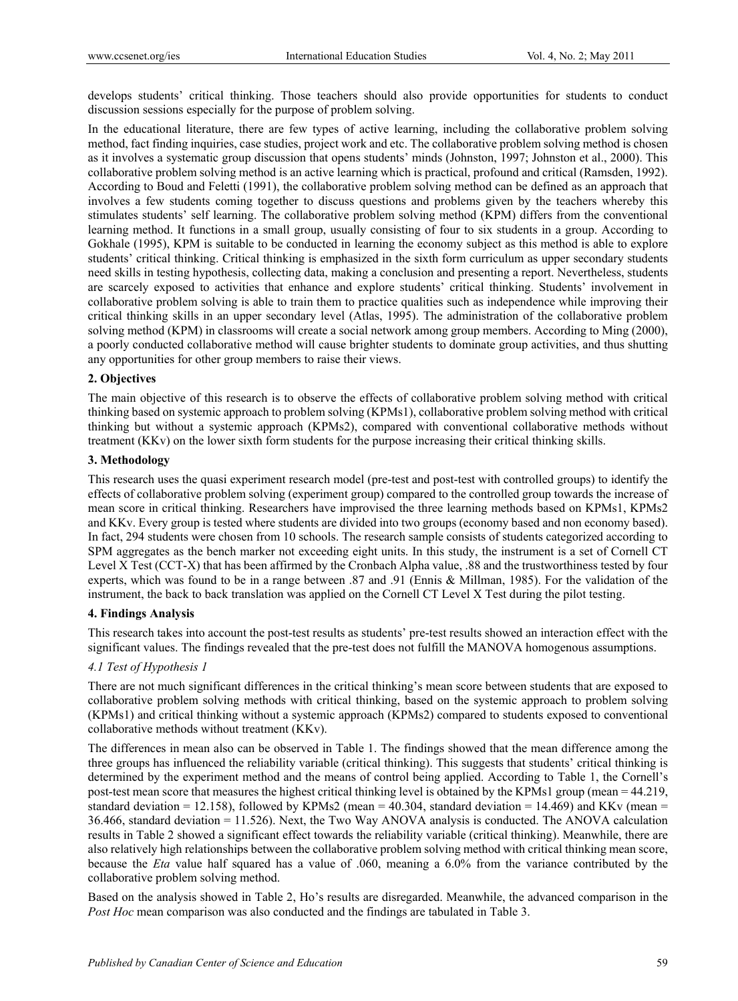develops students' critical thinking. Those teachers should also provide opportunities for students to conduct discussion sessions especially for the purpose of problem solving.

In the educational literature, there are few types of active learning, including the collaborative problem solving method, fact finding inquiries, case studies, project work and etc. The collaborative problem solving method is chosen as it involves a systematic group discussion that opens students' minds (Johnston, 1997; Johnston et al., 2000). This collaborative problem solving method is an active learning which is practical, profound and critical (Ramsden, 1992). According to Boud and Feletti (1991), the collaborative problem solving method can be defined as an approach that involves a few students coming together to discuss questions and problems given by the teachers whereby this stimulates students' self learning. The collaborative problem solving method (KPM) differs from the conventional learning method. It functions in a small group, usually consisting of four to six students in a group. According to Gokhale (1995), KPM is suitable to be conducted in learning the economy subject as this method is able to explore students' critical thinking. Critical thinking is emphasized in the sixth form curriculum as upper secondary students need skills in testing hypothesis, collecting data, making a conclusion and presenting a report. Nevertheless, students are scarcely exposed to activities that enhance and explore students' critical thinking. Students' involvement in collaborative problem solving is able to train them to practice qualities such as independence while improving their critical thinking skills in an upper secondary level (Atlas, 1995). The administration of the collaborative problem solving method (KPM) in classrooms will create a social network among group members. According to Ming (2000), a poorly conducted collaborative method will cause brighter students to dominate group activities, and thus shutting any opportunities for other group members to raise their views.

#### **2. Objectives**

The main objective of this research is to observe the effects of collaborative problem solving method with critical thinking based on systemic approach to problem solving (KPMs1), collaborative problem solving method with critical thinking but without a systemic approach (KPMs2), compared with conventional collaborative methods without treatment (KKv) on the lower sixth form students for the purpose increasing their critical thinking skills.

#### **3. Methodology**

This research uses the quasi experiment research model (pre-test and post-test with controlled groups) to identify the effects of collaborative problem solving (experiment group) compared to the controlled group towards the increase of mean score in critical thinking. Researchers have improvised the three learning methods based on KPMs1, KPMs2 and KKv. Every group is tested where students are divided into two groups (economy based and non economy based). In fact, 294 students were chosen from 10 schools. The research sample consists of students categorized according to SPM aggregates as the bench marker not exceeding eight units. In this study, the instrument is a set of Cornell CT Level X Test (CCT-X) that has been affirmed by the Cronbach Alpha value, .88 and the trustworthiness tested by four experts, which was found to be in a range between .87 and .91 (Ennis & Millman, 1985). For the validation of the instrument, the back to back translation was applied on the Cornell CT Level X Test during the pilot testing.

#### **4. Findings Analysis**

This research takes into account the post-test results as students' pre-test results showed an interaction effect with the significant values. The findings revealed that the pre-test does not fulfill the MANOVA homogenous assumptions.

## *4.1 Test of Hypothesis 1*

There are not much significant differences in the critical thinking's mean score between students that are exposed to collaborative problem solving methods with critical thinking, based on the systemic approach to problem solving (KPMs1) and critical thinking without a systemic approach (KPMs2) compared to students exposed to conventional collaborative methods without treatment (KKv).

The differences in mean also can be observed in Table 1. The findings showed that the mean difference among the three groups has influenced the reliability variable (critical thinking). This suggests that students' critical thinking is determined by the experiment method and the means of control being applied. According to Table 1, the Cornell's post-test mean score that measures the highest critical thinking level is obtained by the KPMs1 group (mean = 44.219, standard deviation = 12.158), followed by KPMs2 (mean = 40.304, standard deviation = 14.469) and KKv (mean = 36.466, standard deviation = 11.526). Next, the Two Way ANOVA analysis is conducted. The ANOVA calculation results in Table 2 showed a significant effect towards the reliability variable (critical thinking). Meanwhile, there are also relatively high relationships between the collaborative problem solving method with critical thinking mean score, because the *Eta* value half squared has a value of .060, meaning a 6.0% from the variance contributed by the collaborative problem solving method.

Based on the analysis showed in Table 2, Ho's results are disregarded. Meanwhile, the advanced comparison in the *Post Hoc* mean comparison was also conducted and the findings are tabulated in Table 3.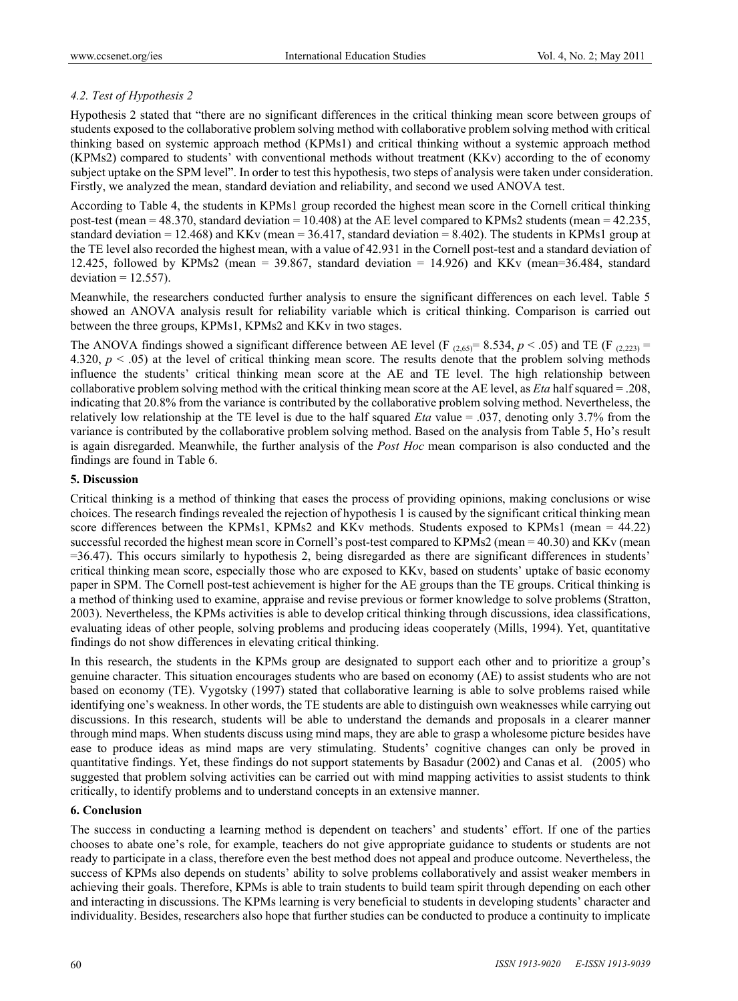## *4.2. Test of Hypothesis 2*

Hypothesis 2 stated that "there are no significant differences in the critical thinking mean score between groups of students exposed to the collaborative problem solving method with collaborative problem solving method with critical thinking based on systemic approach method (KPMs1) and critical thinking without a systemic approach method (KPMs2) compared to students' with conventional methods without treatment (KKv) according to the of economy subject uptake on the SPM level". In order to test this hypothesis, two steps of analysis were taken under consideration. Firstly, we analyzed the mean, standard deviation and reliability, and second we used ANOVA test.

According to Table 4, the students in KPMs1 group recorded the highest mean score in the Cornell critical thinking post-test (mean = 48.370, standard deviation = 10.408) at the AE level compared to KPMs2 students (mean = 42.235, standard deviation = 12.468) and KKv (mean = 36.417, standard deviation = 8.402). The students in KPMs1 group at the TE level also recorded the highest mean, with a value of 42.931 in the Cornell post-test and a standard deviation of 12.425, followed by KPMs2 (mean = 39.867, standard deviation = 14.926) and KKv (mean=36.484, standard  $deviation = 12.557$ ).

Meanwhile, the researchers conducted further analysis to ensure the significant differences on each level. Table 5 showed an ANOVA analysis result for reliability variable which is critical thinking. Comparison is carried out between the three groups, KPMs1, KPMs2 and KKv in two stages.

The ANOVA findings showed a significant difference between AE level (F  $_{(2,65)}$ = 8.534, p < .05) and TE (F  $_{(2,223)}$  = 4.320,  $p < .05$ ) at the level of critical thinking mean score. The results denote that the problem solving methods influence the students' critical thinking mean score at the AE and TE level. The high relationship between collaborative problem solving method with the critical thinking mean score at the AE level, as *Eta* half squared = .208, indicating that 20.8% from the variance is contributed by the collaborative problem solving method. Nevertheless, the relatively low relationship at the TE level is due to the half squared *Eta* value = .037, denoting only 3.7% from the variance is contributed by the collaborative problem solving method. Based on the analysis from Table 5, Ho's result is again disregarded. Meanwhile, the further analysis of the *Post Hoc* mean comparison is also conducted and the findings are found in Table 6.

#### **5. Discussion**

Critical thinking is a method of thinking that eases the process of providing opinions, making conclusions or wise choices. The research findings revealed the rejection of hypothesis 1 is caused by the significant critical thinking mean score differences between the KPMs1, KPMs2 and KKv methods. Students exposed to KPMs1 (mean = 44.22) successful recorded the highest mean score in Cornell's post-test compared to KPMs2 (mean = 40.30) and KKv (mean =36.47). This occurs similarly to hypothesis 2, being disregarded as there are significant differences in students' critical thinking mean score, especially those who are exposed to KKv, based on students' uptake of basic economy paper in SPM. The Cornell post-test achievement is higher for the AE groups than the TE groups. Critical thinking is a method of thinking used to examine, appraise and revise previous or former knowledge to solve problems (Stratton, 2003). Nevertheless, the KPMs activities is able to develop critical thinking through discussions, idea classifications, evaluating ideas of other people, solving problems and producing ideas cooperately (Mills, 1994). Yet, quantitative findings do not show differences in elevating critical thinking.

In this research, the students in the KPMs group are designated to support each other and to prioritize a group's genuine character. This situation encourages students who are based on economy (AE) to assist students who are not based on economy (TE). Vygotsky (1997) stated that collaborative learning is able to solve problems raised while identifying one's weakness. In other words, the TE students are able to distinguish own weaknesses while carrying out discussions. In this research, students will be able to understand the demands and proposals in a clearer manner through mind maps. When students discuss using mind maps, they are able to grasp a wholesome picture besides have ease to produce ideas as mind maps are very stimulating. Students' cognitive changes can only be proved in quantitative findings. Yet, these findings do not support statements by Basadur (2002) and Canas et al. (2005) who suggested that problem solving activities can be carried out with mind mapping activities to assist students to think critically, to identify problems and to understand concepts in an extensive manner.

#### **6. Conclusion**

The success in conducting a learning method is dependent on teachers' and students' effort. If one of the parties chooses to abate one's role, for example, teachers do not give appropriate guidance to students or students are not ready to participate in a class, therefore even the best method does not appeal and produce outcome. Nevertheless, the success of KPMs also depends on students' ability to solve problems collaboratively and assist weaker members in achieving their goals. Therefore, KPMs is able to train students to build team spirit through depending on each other and interacting in discussions. The KPMs learning is very beneficial to students in developing students' character and individuality. Besides, researchers also hope that further studies can be conducted to produce a continuity to implicate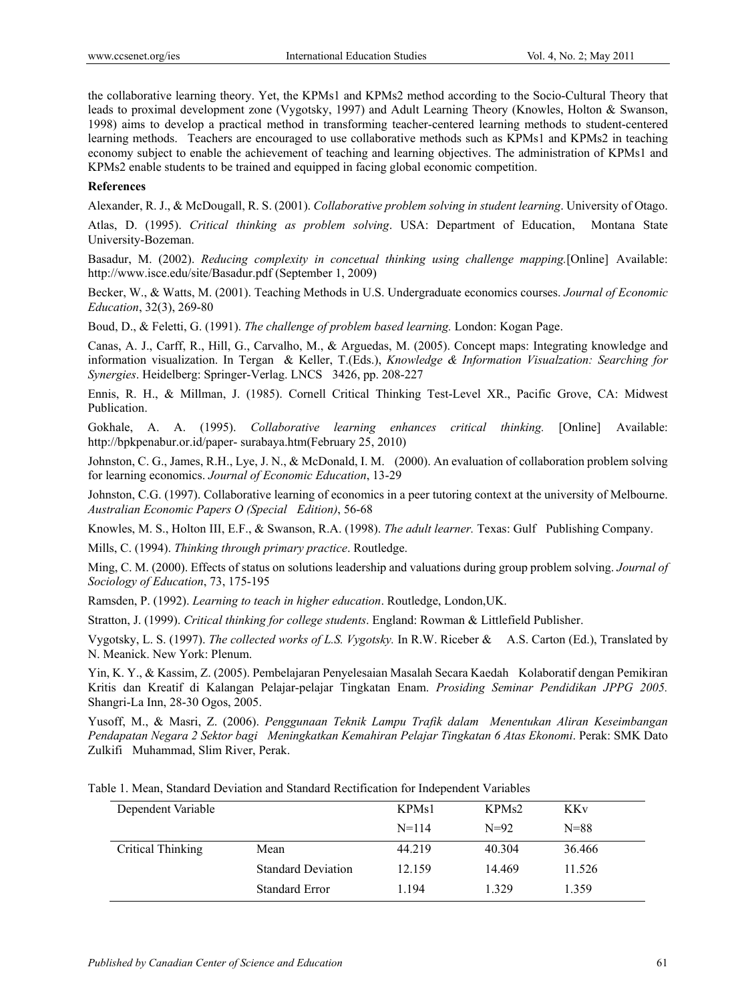the collaborative learning theory. Yet, the KPMs1 and KPMs2 method according to the Socio-Cultural Theory that leads to proximal development zone (Vygotsky, 1997) and Adult Learning Theory (Knowles, Holton & Swanson, 1998) aims to develop a practical method in transforming teacher-centered learning methods to student-centered learning methods. Teachers are encouraged to use collaborative methods such as KPMs1 and KPMs2 in teaching economy subject to enable the achievement of teaching and learning objectives. The administration of KPMs1 and KPMs2 enable students to be trained and equipped in facing global economic competition.

#### **References**

Alexander, R. J., & McDougall, R. S. (2001). *Collaborative problem solving in student learning*. University of Otago.

Atlas, D. (1995). *Critical thinking as problem solving*. USA: Department of Education, Montana State University-Bozeman.

Basadur, M. (2002). *Reducing complexity in concetual thinking using challenge mapping.*[Online] Available: http://www.isce.edu/site/Basadur.pdf (September 1, 2009)

Becker, W., & Watts, M. (2001). Teaching Methods in U.S. Undergraduate economics courses. *Journal of Economic Education*, 32(3), 269-80

Boud, D., & Feletti, G. (1991). *The challenge of problem based learning.* London: Kogan Page.

Canas, A. J., Carff, R., Hill, G., Carvalho, M., & Arguedas, M. (2005). Concept maps: Integrating knowledge and information visualization. In Tergan & Keller, T.(Eds.), *Knowledge & Information Visualzation: Searching for Synergies*. Heidelberg: Springer-Verlag. LNCS 3426, pp. 208-227

Ennis, R. H., & Millman, J. (1985). Cornell Critical Thinking Test-Level XR., Pacific Grove, CA: Midwest Publication.

Gokhale, A. A. (1995). *Collaborative learning enhances critical thinking.* [Online] Available: http://bpkpenabur.or.id/paper- surabaya.htm(February 25, 2010)

Johnston, C. G., James, R.H., Lye, J. N., & McDonald, I. M. (2000). An evaluation of collaboration problem solving for learning economics. *Journal of Economic Education*, 13-29

Johnston, C.G. (1997). Collaborative learning of economics in a peer tutoring context at the university of Melbourne. *Australian Economic Papers O (Special Edition)*, 56-68

Knowles, M. S., Holton III, E.F., & Swanson, R.A. (1998). *The adult learner.* Texas: Gulf Publishing Company.

Mills, C. (1994). *Thinking through primary practice*. Routledge.

Ming, C. M. (2000). Effects of status on solutions leadership and valuations during group problem solving. *Journal of Sociology of Education*, 73, 175-195

Ramsden, P. (1992). *Learning to teach in higher education*. Routledge, London,UK.

Stratton, J. (1999). *Critical thinking for college students*. England: Rowman & Littlefield Publisher.

Vygotsky, L. S. (1997). *The collected works of L.S. Vygotsky.* In R.W. Riceber & A.S. Carton (Ed.), Translated by N. Meanick. New York: Plenum.

Yin, K. Y., & Kassim, Z. (2005). Pembelajaran Penyelesaian Masalah Secara Kaedah Kolaboratif dengan Pemikiran Kritis dan Kreatif di Kalangan Pelajar-pelajar Tingkatan Enam. *Prosiding Seminar Pendidikan JPPG 2005.*  Shangri-La Inn, 28-30 Ogos, 2005.

Yusoff, M., & Masri, Z. (2006). *Penggunaan Teknik Lampu Trafik dalam Menentukan Aliran Keseimbangan Pendapatan Negara 2 Sektor bagi Meningkatkan Kemahiran Pelajar Tingkatan 6 Atas Ekonomi*. Perak: SMK Dato Zulkifi Muhammad, Slim River, Perak.

| Table 1. Mean, Standard Deviation and Standard Rectification for Independent Variables |  |  |  |  |  |
|----------------------------------------------------------------------------------------|--|--|--|--|--|
|----------------------------------------------------------------------------------------|--|--|--|--|--|

| Dependent Variable |                           | KPM <sub>s1</sub> | KPM <sub>s2</sub> | <b>KK</b> <sub>v</sub> |  |
|--------------------|---------------------------|-------------------|-------------------|------------------------|--|
|                    |                           | $N = 114$         | $N=92$            | $N = 88$               |  |
| Critical Thinking  | Mean                      | 44.219            | 40.304            | 36.466                 |  |
|                    | <b>Standard Deviation</b> | 12.159            | 14.469            | 11.526                 |  |
|                    | <b>Standard Error</b>     | 1.194             | 1.329             | 1.359                  |  |